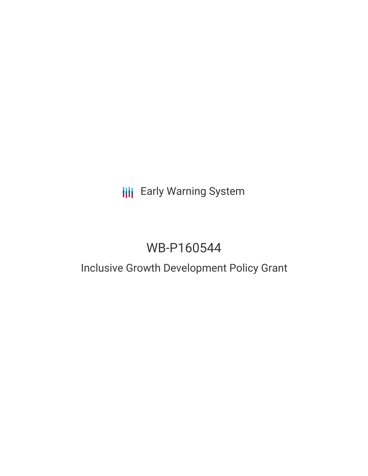**III** Early Warning System

# WB-P160544

## Inclusive Growth Development Policy Grant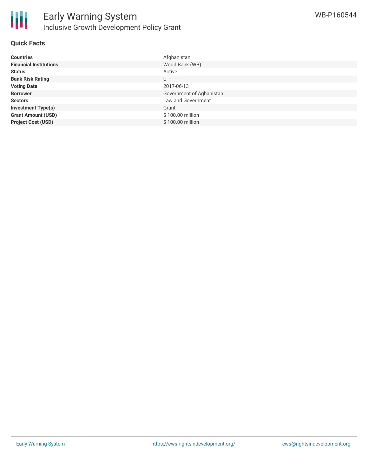

#### **Quick Facts**

| <b>Countries</b>              | Afghanistan              |
|-------------------------------|--------------------------|
| <b>Financial Institutions</b> | World Bank (WB)          |
| <b>Status</b>                 | Active                   |
| <b>Bank Risk Rating</b>       | U                        |
| <b>Voting Date</b>            | 2017-06-13               |
| <b>Borrower</b>               | Government of Aghanistan |
| <b>Sectors</b>                | Law and Government       |
| <b>Investment Type(s)</b>     | Grant                    |
| <b>Grant Amount (USD)</b>     | \$100.00 million         |
| <b>Project Cost (USD)</b>     | \$100.00 million         |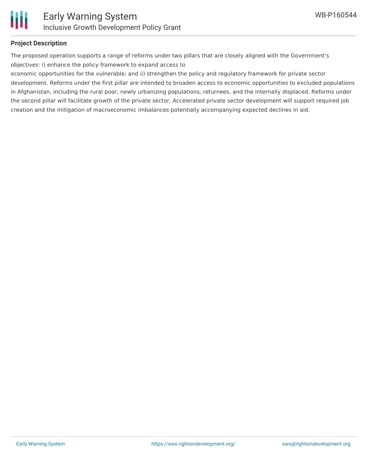

#### **Project Description**

The proposed operation supports a range of reforms under two pillars that are closely aligned with the Government's objectives: i) enhance the policy framework to expand access to

economic opportunities for the vulnerable; and ii) strengthen the policy and regulatory framework for private sector development. Reforms under the first pillar are intended to broaden access to economic opportunities to excluded populations in Afghanistan, including the rural poor, newly urbanizing populations, returnees, and the internally displaced. Reforms under the second pillar will facilitate growth of the private sector. Accelerated private sector development will support required job creation and the mitigation of macroeconomic imbalances potentially accompanying expected declines in aid.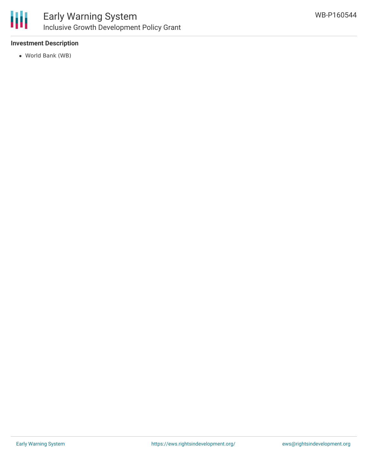

### **Investment Description**

World Bank (WB)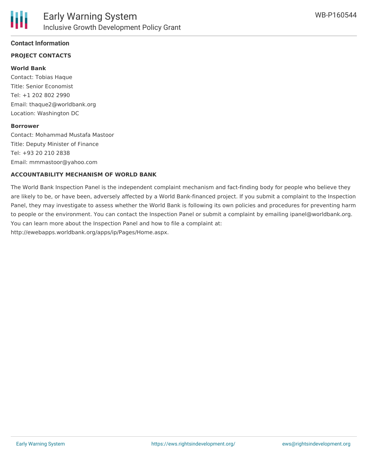#### **Contact Information**

#### **PROJECT CONTACTS**

#### **World Bank**

Contact: Tobias Haque Title: Senior Economist Tel: +1 202 802 2990 Email: thaque2@worldbank.org Location: Washington DC

#### **Borrower**

Contact: Mohammad Mustafa Mastoor Title: Deputy Minister of Finance Tel: +93 20 210 2838 Email: mmmastoor@yahoo.com

#### **ACCOUNTABILITY MECHANISM OF WORLD BANK**

The World Bank Inspection Panel is the independent complaint mechanism and fact-finding body for people who believe they are likely to be, or have been, adversely affected by a World Bank-financed project. If you submit a complaint to the Inspection Panel, they may investigate to assess whether the World Bank is following its own policies and procedures for preventing harm to people or the environment. You can contact the Inspection Panel or submit a complaint by emailing ipanel@worldbank.org. You can learn more about the Inspection Panel and how to file a complaint at: http://ewebapps.worldbank.org/apps/ip/Pages/Home.aspx.